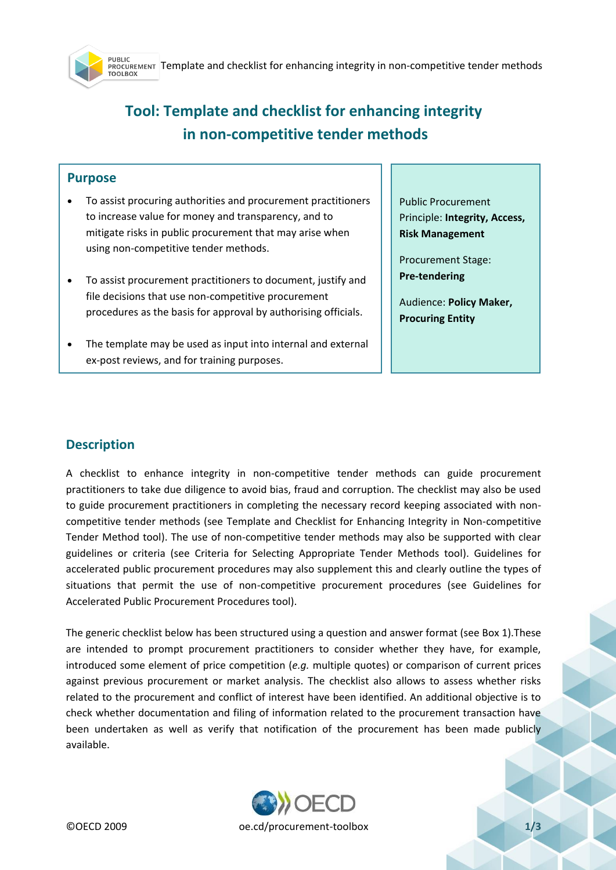TUBLIL<br>PROCUREMENT Template and checklist for enhancing integrity in non-competitive tender methods<br>TOOLBOX **PURLIC** 

# **Tool: Template and checklist for enhancing integrity in non-competitive tender methods**

### **Purpose**

- To assist procuring authorities and procurement practitioners to increase value for money and transparency, and to mitigate risks in public procurement that may arise when using non-competitive tender methods.
- To assist procurement practitioners to document, justify and file decisions that use non-competitive procurement procedures as the basis for approval by authorising officials.
- The template may be used as input into internal and external ex-post reviews, and for training purposes.

Public Procurement Principle: **Integrity, Access, Risk Management** 

Procurement Stage: **Pre-tendering**

Audience: **Policy Maker, Procuring Entity**

## **Description**

A checklist to enhance integrity in non-competitive tender methods can guide procurement practitioners to take due diligence to avoid bias, fraud and corruption. The checklist may also be used to guide procurement practitioners in completing the necessary record keeping associated with noncompetitive tender methods (see Template and Checklist for Enhancing Integrity in Non-competitive Tender Method tool). The use of non-competitive tender methods may also be supported with clear guidelines or criteria (see Criteria for Selecting Appropriate Tender Methods tool). Guidelines for accelerated public procurement procedures may also supplement this and clearly outline the types of situations that permit the use of non-competitive procurement procedures (see Guidelines for Accelerated Public Procurement Procedures tool).

The generic checklist below has been structured using a question and answer format (see Box 1).These are intended to prompt procurement practitioners to consider whether they have, for example, introduced some element of price competition (*e.g.* multiple quotes) or comparison of current prices against previous procurement or market analysis. The checklist also allows to assess whether risks related to the procurement and conflict of interest have been identified. An additional objective is to check whether documentation and filing of information related to the procurement transaction have been undertaken as well as verify that notification of the procurement has been made publicly available.

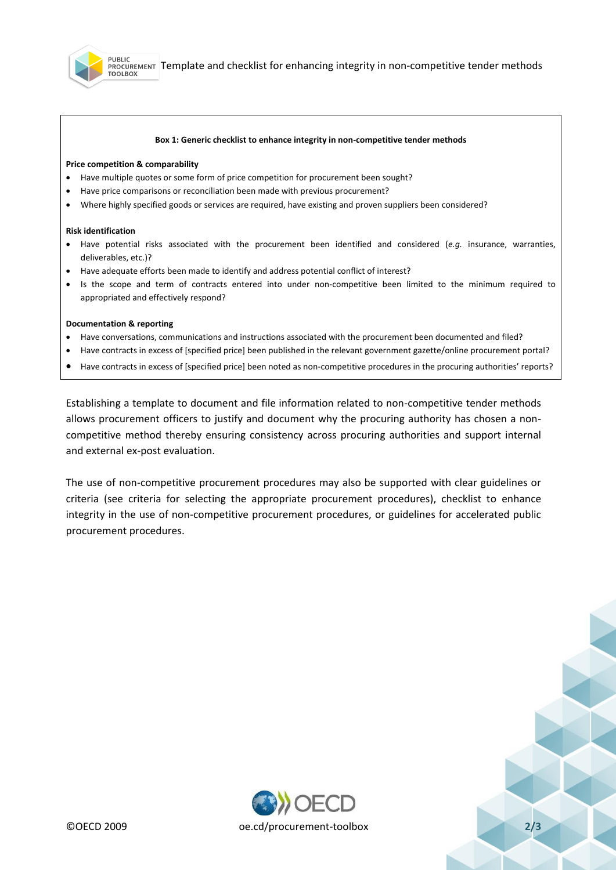

#### **Box 1: Generic checklist to enhance integrity in non-competitive tender methods**

#### **Price competition & comparability**

- Have multiple quotes or some form of price competition for procurement been sought?
- Have price comparisons or reconciliation been made with previous procurement?
- Where highly specified goods or services are required, have existing and proven suppliers been considered?

#### **Risk identification**

- Have potential risks associated with the procurement been identified and considered (*e.g.* insurance, warranties, deliverables, etc.)?
- Have adequate efforts been made to identify and address potential conflict of interest?
- Is the scope and term of contracts entered into under non-competitive been limited to the minimum required to appropriated and effectively respond?

#### **Documentation & reporting**

- Have conversations, communications and instructions associated with the procurement been documented and filed?
- Have contracts in excess of [specified price] been published in the relevant government gazette/online procurement portal?
- Have contracts in excess of [specified price] been noted as non-competitive procedures in the procuring authorities' reports?

Establishing a template to document and file information related to non-competitive tender methods allows procurement officers to justify and document why the procuring authority has chosen a noncompetitive method thereby ensuring consistency across procuring authorities and support internal and external ex-post evaluation.

The use of non-competitive procurement procedures may also be supported with clear guidelines or criteria (see criteria for selecting the appropriate procurement procedures), checklist to enhance integrity in the use of non-competitive procurement procedures, or guidelines for accelerated public procurement procedures.